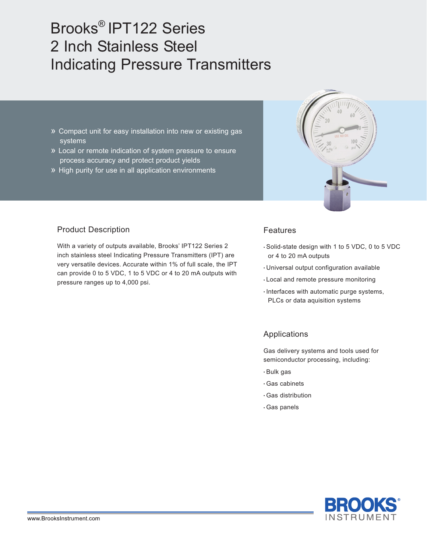# Brooks® IPT122 Series 2 Inch Stainless Steel Indicating Pressure Transmitters

- » Compact unit for easy installation into new or existing gas systems
- » Local or remote indication of system pressure to ensure process accuracy and protect product yields
- » High purity for use in all application environments



# Product Description

With a variety of outputs available, Brooks' IPT122 Series 2 inch stainless steel Indicating Pressure Transmitters (IPT) are very versatile devices. Accurate within 1% of full scale, the IPT can provide 0 to 5 VDC, 1 to 5 VDC or 4 to 20 mA outputs with pressure ranges up to 4,000 psi.

#### Features

- Solid-state design with 1 to 5 VDC, 0 to 5 VDC or 4 to 20 mA outputs
- Universal output configuration available
- Local and remote pressure monitoring
- Interfaces with automatic purge systems, PLCs or data aquisition systems

## Applications

Gas delivery systems and tools used for semiconductor processing, including:

- Bulk gas
- Gas cabinets
- Gas distribution
- Gas panels